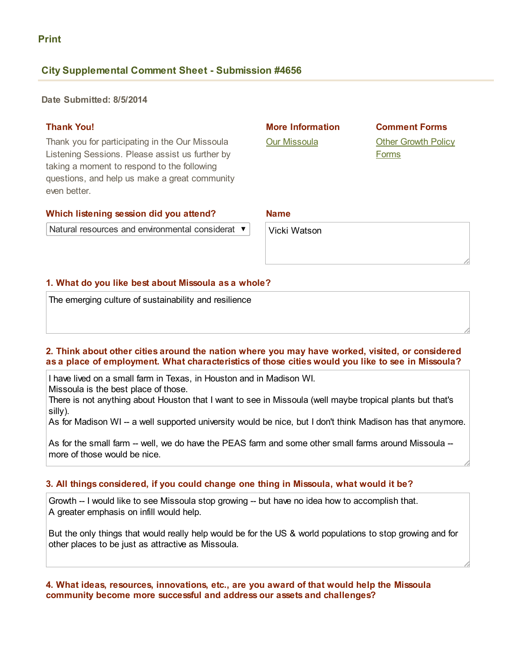Print

# **City Supplemental Comment Sheet - Submission #4656**

Date Submitted: 8/5/2014

# Thank You!

Thank you for participating in the Our Missoula Listening Sessions. Please assist us further by taking a moment to respond to the following questions, and help us make a great community even better.

#### Which listening session did you attend?

Natural resources and environmental considerat  $\blacktriangledown$ 

# More Information

Our [Missoula](http://www.ci.missoula.mt.us/1748/Our-Missoula)

# Comment Forms

**Other [Growth](http://mt-missoula3.civicplus.com/1787/Comment) Policy** Forms

#### Name

Vicki Watson

# 1. What do you like best about Missoula as a whole?

The emerging culture of sustainability and resilience

#### 2. Think about other cities around the nation where you may have worked, visited, or considered as a place of employment. What characteristics of those cities would you like to see in Missoula?

I have lived on a small farm in Texas, in Houston and in Madison WI.

Missoula is the best place of those.

There is not anything about Houston that I want to see in Missoula (well maybe tropical plants but that's silly).

As for Madison WI -- a well supported university would be nice, but I don't think Madison has that anymore.

As for the small farm -- well, we do have the PEAS farm and some other small farms around Missoula -more of those would be nice.

# 3. All things considered, if you could change one thing in Missoula, what would it be?

Growth -- I would like to see Missoula stop growing -- but have no idea how to accomplish that. A greater emphasis on infill would help.

But the only things that would really help would be for the US & world populations to stop growing and for other places to be just as attractive as Missoula.

# 4. What ideas, resources, innovations, etc., are you award of that would help the Missoula community become more successful and address our assets and challenges?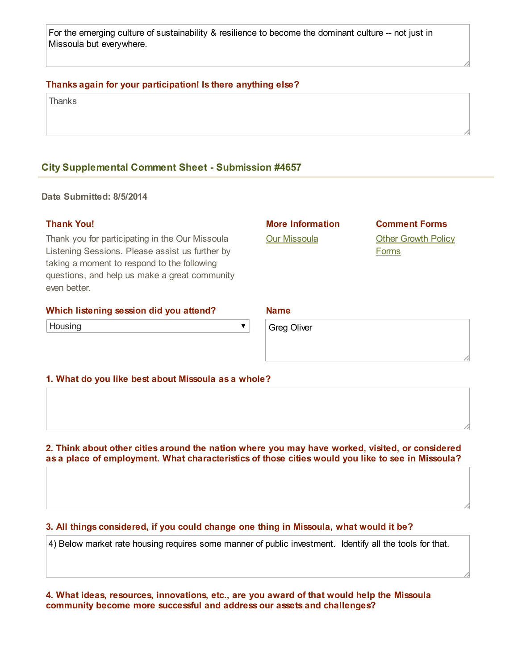For the emerging culture of sustainability  $\&$  resilience to become the dominant culture  $-$  not just in Missoula but everywhere.

# Thanks again for your participation! Is there anything else?

**Thanks** 

# **City Supplemental Comment Sheet - Submission #4657**

Date Submitted: 8/5/2014

#### Thank You!

Thank you for participating in the Our Missoula Listening Sessions. Please assist us further by taking a moment to respond to the following questions, and help us make a great community even better.

#### Which listening session did you attend?

**Housing** 

Our [Missoula](http://www.ci.missoula.mt.us/1748/Our-Missoula)

More Information

Comment Forms Other [Growth](http://mt-missoula3.civicplus.com/1787/Comment) Policy **Forms** 

#### Name

Greg Oliver

#### 1. What do you like best about Missoula as a whole?

2. Think about other cities around the nation where you may have worked, visited, or considered as a place of employment. What characteristics of those cities would you like to see in Missoula?

 $\overline{\textbf{v}}$ 

#### 3. All things considered, if you could change one thing in Missoula, what would it be?

4) Below market rate housing requires some manner of public investment. Identify all the tools for that.

4. What ideas, resources, innovations, etc., are you award of that would help the Missoula community become more successful and address our assets and challenges?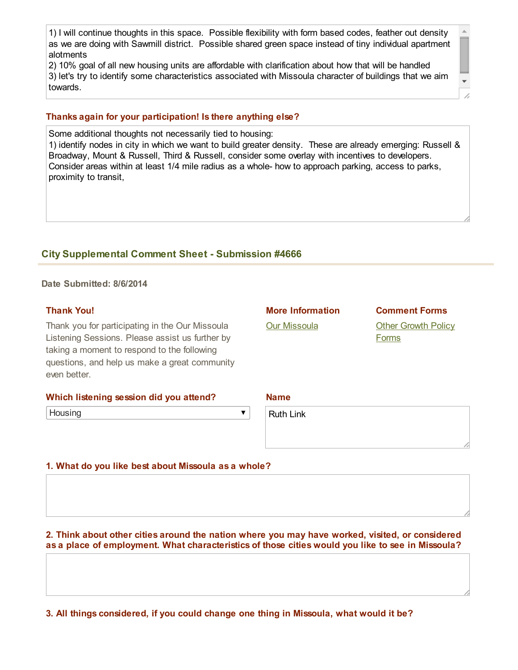1) I will continue thoughts in this space. Possible flexibility with form based codes, feather out density as we are doing with Sawmill district. Possible shared green space instead of tiny individual apartment alotments

2) 10% goal of all new housing units are affordable with clarification about how that will be handled 3) let's try to identify some characteristics associated with Missoula character of buildings that we aim towards.

# Thanks again for your participation! Is there anything else?

Some additional thoughts not necessarily tied to housing: 1) identify nodes in city in which we want to build greater density. These are already emerging: Russell & Broadway, Mount & Russell, Third & Russell, consider some overlay with incentives to developers. Consider areas within at least 1/4 mile radius as a whole how to approach parking, access to parks, proximity to transit,

# **City Supplemental Comment Sheet - Submission #4666**

Date Submitted: 8/6/2014

# Thank You!

Thank you for participating in the Our Missoula Listening Sessions. Please assist us further by taking a moment to respond to the following questions, and help us make a great community even better.

| Which listening session did you attend? |  |  |
|-----------------------------------------|--|--|
|                                         |  |  |

**Housing** 

 $\blacktriangledown$ 

Ruth Link

# 1. What do you like best about Missoula as a whole?

2. Think about other cities around the nation where you may have worked, visited, or considered as a place of employment. What characteristics of those cities would you like to see in Missoula?

3. All things considered, if you could change one thing in Missoula, what would it be?

# More Information

Our [Missoula](http://www.ci.missoula.mt.us/1748/Our-Missoula)

Other [Growth](http://mt-missoula3.civicplus.com/1787/Comment) Policy Forms

Comment Forms

Name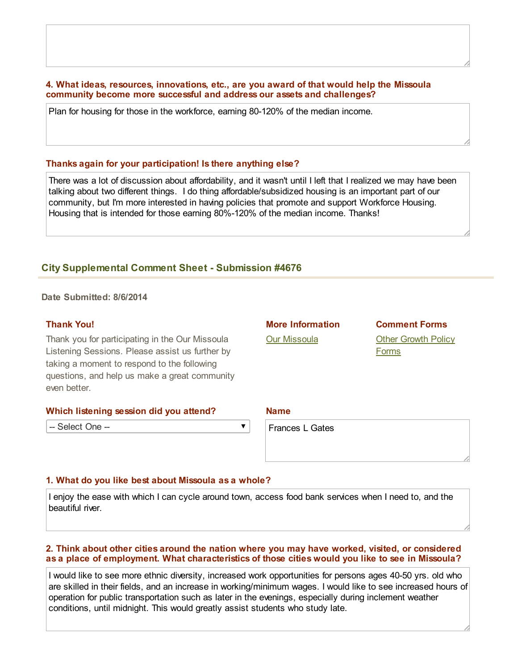### 4. What ideas, resources, innovations, etc., are you award of that would help the Missoula community become more successful and address our assets and challenges?

Plan for housing for those in the workforce, earning 80-120% of the median income.

#### Thanks again for your participation! Is there anything else?

There was a lot of discussion about affordability, and it wasn't until I left that I realized we may have been talking about two different things. I do thing affordable/subsidized housing is an important part of our community, but I'm more interested in having policies that promote and support Workforce Housing. Housing that is intended for those earning 80%-120% of the median income. Thanks!

# **City Supplemental Comment Sheet - Submission #4676**

Date Submitted: 8/6/2014

# Thank You!

Thank you for participating in the Our Missoula Listening Sessions. Please assist us further by taking a moment to respond to the following questions, and help us make a great community even better.

#### Which listening session did you attend?

-- Select One --

# More Information

Our [Missoula](http://www.ci.missoula.mt.us/1748/Our-Missoula)

Comment Forms **Other [Growth](http://mt-missoula3.civicplus.com/1787/Comment) Policy Forms** 

#### Name

Frances L Gates

#### 1. What do you like best about Missoula as a whole?

I enjoy the ease with which I can cycle around town, access food bank services when I need to, and the beautiful river.

 $\blacktriangledown$ 

# 2. Think about other cities around the nation where you may have worked, visited, or considered as a place of employment. What characteristics of those cities would you like to see in Missoula?

I would like to see more ethnic diversity, increased work opportunities for persons ages 40-50 yrs. old who are skilled in their fields, and an increase in working/minimum wages. I would like to see increased hours of operation for public transportation such as later in the evenings, especially during inclement weather conditions, until midnight. This would greatly assist students who study late.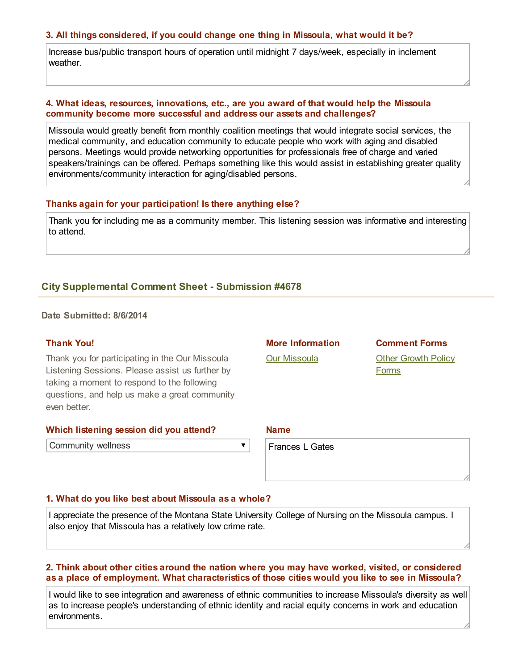# 3. All things considered, if you could change one thing in Missoula, what would it be?

Increase bus/public transport hours of operation until midnight 7 days/week, especially in inclement weather.

# 4. What ideas, resources, innovations, etc., are you award of that would help the Missoula community become more successful and address our assets and challenges?

Missoula would greatly benefit from monthly coalition meetings that would integrate social services, the medical community, and education community to educate people who work with aging and disabled persons. Meetings would provide networking opportunities for professionals free of charge and varied speakers/trainings can be offered. Perhaps something like this would assist in establishing greater quality environments/community interaction for aging/disabled persons.

#### Thanks again for your participation! Is there anything else?

Thank you for including me as a community member. This listening session was informative and interesting to attend.

# **City Supplemental Comment Sheet - Submission #4678**

Date Submitted: 8/6/2014

#### Thank You!

Thank you for participating in the Our Missoula Listening Sessions. Please assist us further by taking a moment to respond to the following questions, and help us make a great community even better.

#### Which listening session did you attend?

Community wellness

 $\blacktriangledown$ 

# More Information **Our [Missoula](http://www.ci.missoula.mt.us/1748/Our-Missoula)**

Comment Forms **Other [Growth](http://mt-missoula3.civicplus.com/1787/Comment) Policy** 

Forms

#### Name

Frances L Gates

# 1. What do you like best about Missoula as a whole?

I appreciate the presence of the Montana State University College of Nursing on the Missoula campus. I also enjoy that Missoula has a relatively low crime rate.

### 2. Think about other cities around the nation where you may have worked, visited, or considered as a place of employment. What characteristics of those cities would you like to see in Missoula?

I would like to see integration and awareness of ethnic communities to increase Missoula's diversity as well as to increase people's understanding of ethnic identity and racial equity concerns in work and education environments.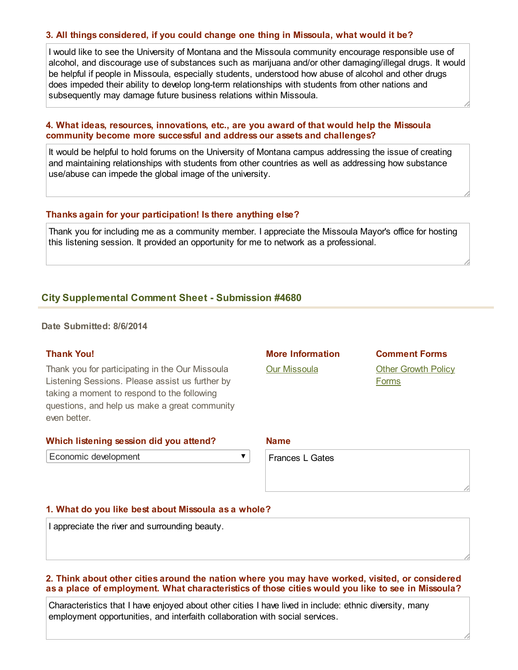# 3. All things considered, if you could change one thing in Missoula, what would it be?

I would like to see the University of Montana and the Missoula community encourage responsible use of alcohol, and discourage use of substances such as marijuana and/or other damaging/illegal drugs. It would be helpful if people in Missoula, especially students, understood how abuse of alcohol and other drugs does impeded their ability to develop long-term relationships with students from other nations and subsequently may damage future business relations within Missoula.

# 4. What ideas, resources, innovations, etc., are you award of that would help the Missoula community become more successful and address our assets and challenges?

It would be helpful to hold forums on the University of Montana campus addressing the issue of creating and maintaining relationships with students from other countries as well as addressing how substance use/abuse can impede the global image of the university.

#### Thanks again for your participation! Is there anything else?

Thank you for including me as a community member. I appreciate the Missoula Mayor's office for hosting this listening session. It provided an opportunity for me to network as a professional.

# **City Supplemental Comment Sheet - Submission #4680**

Date Submitted: 8/6/2014

# Thank You!

Thank you for participating in the Our Missoula Listening Sessions. Please assist us further by taking a moment to respond to the following questions, and help us make a great community even better.

#### Which listening session did you attend?

Economic development

 $\overline{\mathbf{v}}$ 

More Information Our [Missoula](http://www.ci.missoula.mt.us/1748/Our-Missoula)

Comment Forms **Other [Growth](http://mt-missoula3.civicplus.com/1787/Comment) Policy** Forms

Name

Frances L Gates

#### 1. What do you like best about Missoula as a whole?

I appreciate the river and surrounding beauty.

# 2. Think about other cities around the nation where you may have worked, visited, or considered as a place of employment. What characteristics of those cities would you like to see in Missoula?

Characteristics that I have enjoyed about other cities I have lived in include: ethnic diversity, many employment opportunities, and interfaith collaboration with social services.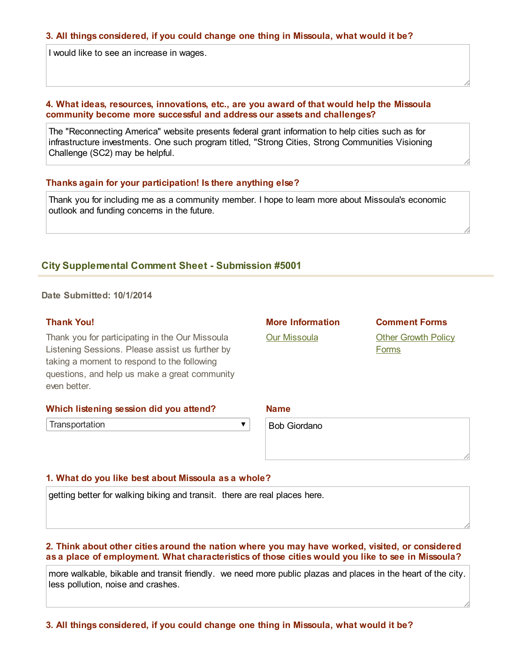#### 3. All things considered, if you could change one thing in Missoula, what would it be?

I would like to see an increase in wages.

### 4. What ideas, resources, innovations, etc., are you award of that would help the Missoula community become more successful and address our assets and challenges?

The "Reconnecting America" website presents federal grant information to help cities such as for infrastructure investments. One such program titled, "Strong Cities, Strong Communities Visioning Challenge (SC2) may be helpful.

#### Thanks again for your participation! Is there anything else?

Thank you for including me as a community member. I hope to learn more about Missoula's economic outlook and funding concerns in the future.

# **City Supplemental Comment Sheet - Submission #5001**

Date Submitted: 10/1/2014

#### Thank You!

Thank you for participating in the Our Missoula Listening Sessions. Please assist us further by taking a moment to respond to the following questions, and help us make a great community even better.

| Which listening session did you attend? |  |
|-----------------------------------------|--|
|-----------------------------------------|--|

**Transportation** 

Bob Giordano

#### 1. What do you like best about Missoula as a whole?

getting better for walking biking and transit. there are real places here.

#### 2. Think about other cities around the nation where you may have worked, visited, or considered as a place of employment. What characteristics of those cities would you like to see in Missoula?

 $\overline{\textbf{v}}$ 

more walkable, bikable and transit friendly. we need more public plazas and places in the heart of the city. less pollution, noise and crashes.

3. All things considered, if you could change one thing in Missoula, what would it be?

Name

More Information

Our [Missoula](http://www.ci.missoula.mt.us/1748/Our-Missoula)

**Other [Growth](http://mt-missoula3.civicplus.com/1787/Comment) Policy Forms** 

Comment Forms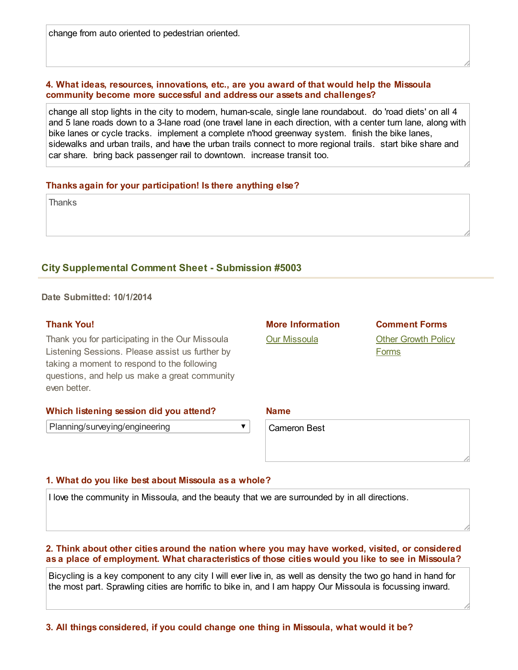change from auto oriented to pedestrian oriented.

# 4. What ideas, resources, innovations, etc., are you award of that would help the Missoula community become more successful and address our assets and challenges?

change all stop lights in the city to modern, human-scale, single lane roundabout. do 'road diets' on all 4 and 5 lane roads down to a 3lane road (one travel lane in each direction, with a center turn lane, along with bike lanes or cycle tracks. implement a complete n'hood greenway system. finish the bike lanes, sidewalks and urban trails, and have the urban trails connect to more regional trails. start bike share and car share. bring back passenger rail to downtown. increase transit too.

# Thanks again for your participation! Is there anything else?

**Thanks** 

# **City Supplemental Comment Sheet - Submission #5003**

Date Submitted: 10/1/2014

# Thank You!

Thank you for participating in the Our Missoula Listening Sessions. Please assist us further by taking a moment to respond to the following questions, and help us make a great community even better.

# Which listening session did you attend?

Planning/surveying/engineering

More Information

Our [Missoula](http://www.ci.missoula.mt.us/1748/Our-Missoula)

Comment Forms **Other [Growth](http://mt-missoula3.civicplus.com/1787/Comment) Policy** Forms

Name

Cameron Best

# 1. What do you like best about Missoula as a whole?

I love the community in Missoula, and the beauty that we are surrounded by in all directions.

 $\blacktriangledown$ 

# 2. Think about other cities around the nation where you may have worked, visited, or considered as a place of employment. What characteristics of those cities would you like to see in Missoula?

Bicycling is a key component to any city I will ever live in, as well as density the two go hand in hand for the most part. Sprawling cities are horrific to bike in, and I am happy Our Missoula is focussing inward.